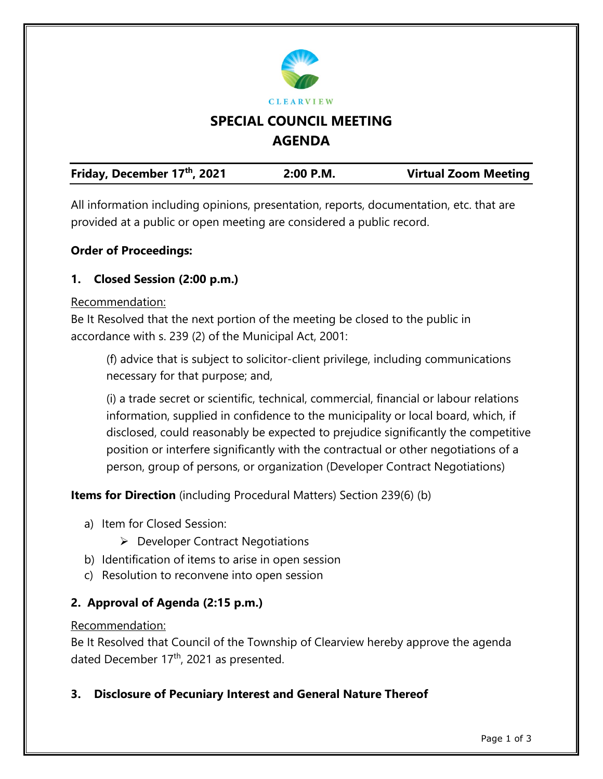

All information including opinions, presentation, reports, documentation, etc. that are provided at a public or open meeting are considered a public record.

## **Order of Proceedings:**

## **1. Closed Session (2:00 p.m.)**

### Recommendation:

Be It Resolved that the next portion of the meeting be closed to the public in accordance with s. 239 (2) of the Municipal Act, 2001:

(f) advice that is subject to solicitor-client privilege, including communications necessary for that purpose; and,

(i) a trade secret or scientific, technical, commercial, financial or labour relations information, supplied in confidence to the municipality or local board, which, if disclosed, could reasonably be expected to prejudice significantly the competitive position or interfere significantly with the contractual or other negotiations of a person, group of persons, or organization (Developer Contract Negotiations)

**Items for Direction** (including Procedural Matters) Section 239(6) (b)

- a) Item for Closed Session:
	- $\triangleright$  Developer Contract Negotiations
- b) Identification of items to arise in open session
- c) Resolution to reconvene into open session

## **2. Approval of Agenda (2:15 p.m.)**

### Recommendation:

Be It Resolved that Council of the Township of Clearview hereby approve the agenda dated December 17<sup>th</sup>, 2021 as presented.

**3. Disclosure of Pecuniary Interest and General Nature Thereof**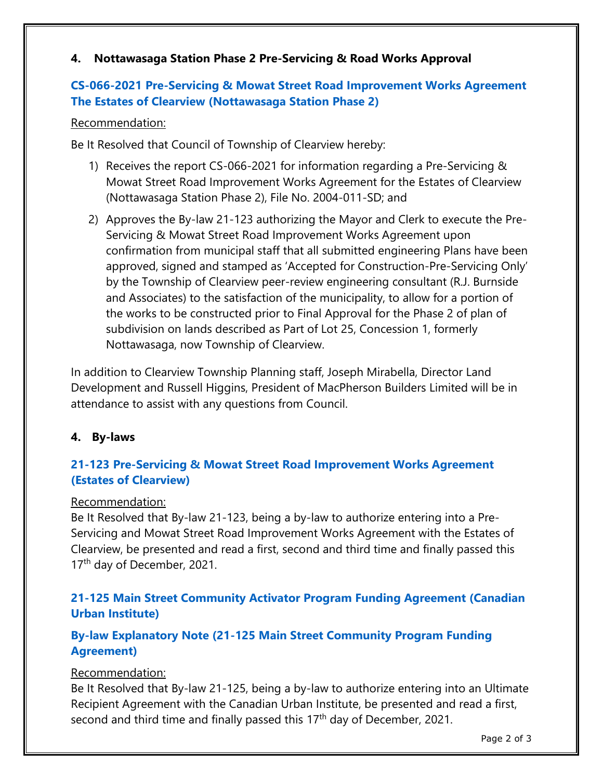## **4. Nottawasaga Station Phase 2 Pre-Servicing & Road Works Approval**

## **[CS-066-2021 Pre-Servicing & Mowat Street Road Improvement Works Agreement](https://www.clearview.ca/sites/default/files/uploads/publications/cs-066-2021_nottawasaga_station_phase_2_pre-servicing_report.pdf)  [The Estates of Clearview \(Nottawasaga Station Phase 2\)](https://www.clearview.ca/sites/default/files/uploads/publications/cs-066-2021_nottawasaga_station_phase_2_pre-servicing_report.pdf)**

### Recommendation:

Be It Resolved that Council of Township of Clearview hereby:

- 1) Receives the report CS-066-2021 for information regarding a Pre-Servicing & Mowat Street Road Improvement Works Agreement for the Estates of Clearview (Nottawasaga Station Phase 2), File No. 2004-011-SD; and
- 2) Approves the By-law 21-123 authorizing the Mayor and Clerk to execute the Pre-Servicing & Mowat Street Road Improvement Works Agreement upon confirmation from municipal staff that all submitted engineering Plans have been approved, signed and stamped as 'Accepted for Construction-Pre-Servicing Only' by the Township of Clearview peer-review engineering consultant (R.J. Burnside and Associates) to the satisfaction of the municipality, to allow for a portion of the works to be constructed prior to Final Approval for the Phase 2 of plan of subdivision on lands described as Part of Lot 25, Concession 1, formerly Nottawasaga, now Township of Clearview.

In addition to Clearview Township Planning staff, Joseph Mirabella, Director Land Development and Russell Higgins, President of MacPherson Builders Limited will be in attendance to assist with any questions from Council.

## **4. By-laws**

## **[21-123 Pre-Servicing & Mowat Street Road Improvement Works Agreement](https://www.clearview.ca/sites/default/files/uploads/publications/21-123_pre-servicing_mowat_street_road_improvement_works_agreement_estates_of_clearview.pdf)  [\(Estates of Clearview\)](https://www.clearview.ca/sites/default/files/uploads/publications/21-123_pre-servicing_mowat_street_road_improvement_works_agreement_estates_of_clearview.pdf)**

### Recommendation:

Be It Resolved that By-law 21-123, being a by-law to authorize entering into a Pre-Servicing and Mowat Street Road Improvement Works Agreement with the Estates of Clearview, be presented and read a first, second and third time and finally passed this 17<sup>th</sup> day of December, 2021.

## **[21-125 Main Street Community Activator Program Funding Agreement \(Canadian](https://www.clearview.ca/sites/default/files/uploads/publications/21-125_main_street_community_activator_program_funding_canadian_urban_institute.pdf)  [Urban Institute\)](https://www.clearview.ca/sites/default/files/uploads/publications/21-125_main_street_community_activator_program_funding_canadian_urban_institute.pdf)**

## **[By-law Explanatory Note \(21-125 Main Street Community Program Funding](https://www.clearview.ca/sites/default/files/uploads/publications/21-125_by-law_explanatory_note_main_street_funding_agreement.pdf)  [Agreement\)](https://www.clearview.ca/sites/default/files/uploads/publications/21-125_by-law_explanatory_note_main_street_funding_agreement.pdf)**

## Recommendation:

Be It Resolved that By-law 21-125, being a by-law to authorize entering into an Ultimate Recipient Agreement with the Canadian Urban Institute, be presented and read a first, second and third time and finally passed this 17<sup>th</sup> day of December, 2021.